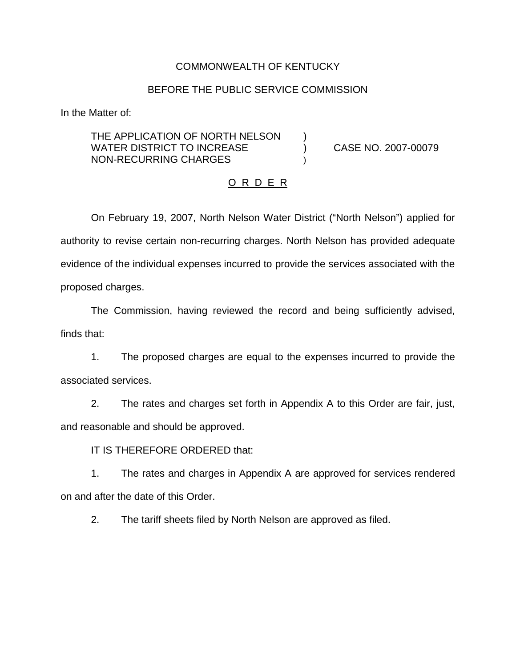## COMMONWEALTH OF KENTUCKY

### BEFORE THE PUBLIC SERVICE COMMISSION

In the Matter of:

THE APPLICATION OF NORTH NELSON ) WATER DISTRICT TO INCREASE  $(1.2007 - 0.0079)$ NON-RECURRING CHARGES

### O R D E R

On February 19, 2007, North Nelson Water District ("North Nelson") applied for authority to revise certain non-recurring charges. North Nelson has provided adequate evidence of the individual expenses incurred to provide the services associated with the proposed charges.

The Commission, having reviewed the record and being sufficiently advised, finds that:

1. The proposed charges are equal to the expenses incurred to provide the associated services.

2. The rates and charges set forth in Appendix A to this Order are fair, just, and reasonable and should be approved.

IT IS THEREFORE ORDERED that:

1. The rates and charges in Appendix A are approved for services rendered on and after the date of this Order.

2. The tariff sheets filed by North Nelson are approved as filed.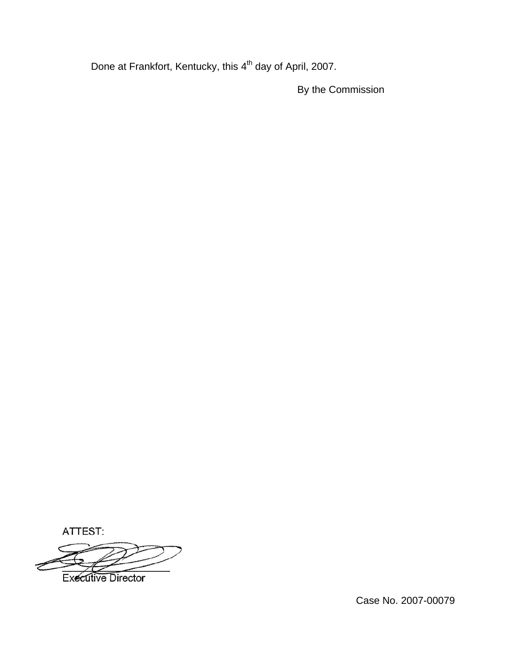Done at Frankfort, Kentucky, this 4<sup>th</sup> day of April, 2007.

By the Commission

ATTEST:

**Executive Director** 

Case No. 2007-00079